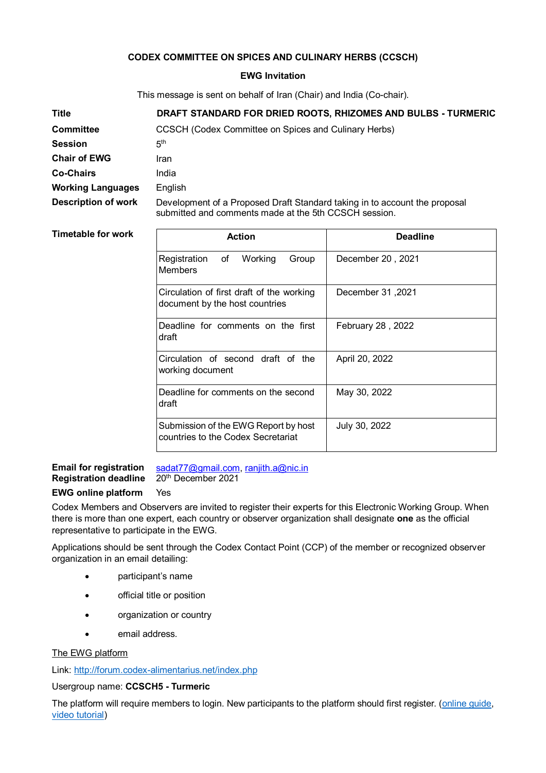## **CODEX COMMITTEE ON SPICES AND CULINARY HERBS (CCSCH)**

## **EWG Invitation**

This message is sent on behalf of Iran (Chair) and India (Co-chair).

| <b>Title</b>               | DRAFT STANDARD FOR DRIED ROOTS, RHIZOMES AND BULBS - TURMERIC                                                                       |
|----------------------------|-------------------------------------------------------------------------------------------------------------------------------------|
| <b>Committee</b>           | CCSCH (Codex Committee on Spices and Culinary Herbs)                                                                                |
| <b>Session</b>             | 5 <sup>th</sup>                                                                                                                     |
| <b>Chair of EWG</b>        | Iran                                                                                                                                |
| <b>Co-Chairs</b>           | India                                                                                                                               |
| <b>Working Languages</b>   | English                                                                                                                             |
| <b>Description of work</b> | Development of a Proposed Draft Standard taking in to account the proposal<br>submitted and comments made at the 5th CCSCH session. |

### **Timetable for work**

| <b>Action</b>                                                               | <b>Deadline</b>   |
|-----------------------------------------------------------------------------|-------------------|
| Registration of<br>Working<br>Group<br>Members                              | December 20, 2021 |
| Circulation of first draft of the working<br>document by the host countries | 2021, December 31 |
| Deadline for comments on the first<br>draft                                 | February 28, 2022 |
| Circulation of second draft of the<br>working document                      | April 20, 2022    |
| Deadline for comments on the second<br>draft                                | May 30, 2022      |
| Submission of the EWG Report by host<br>countries to the Codex Secretariat  | July 30, 2022     |

# **Email for registration** [sadat77@gmail.com,](mailto:sadat77@gmail.com) [ranjith.a@nic.in](mailto:ranjith.a@nic.in) Registration deadline 20<sup>th</sup> December 2021

# **EWG online platform** Yes

Codex Members and Observers are invited to register their experts for this Electronic Working Group. When there is more than one expert, each country or observer organization shall designate **one** as the official representative to participate in the EWG.

Applications should be sent through the Codex Contact Point (CCP) of the member or recognized observer organization in an email detailing:

- participant's name
- **•** official title or position
- organization or country
- email address.

## The EWG platform

Link:<http://forum.codex-alimentarius.net/index.php>

## Usergroup name: **CCSCH5 - Turmeric**

The platform will require members to login. New participants to the platform should first register. [\(online guide,](http://forum.codex-alimentarius.net/viewtopic.php?f=13&t=11) [video tutorial\)](https://youtu.be/EJn9k7wNSwk)